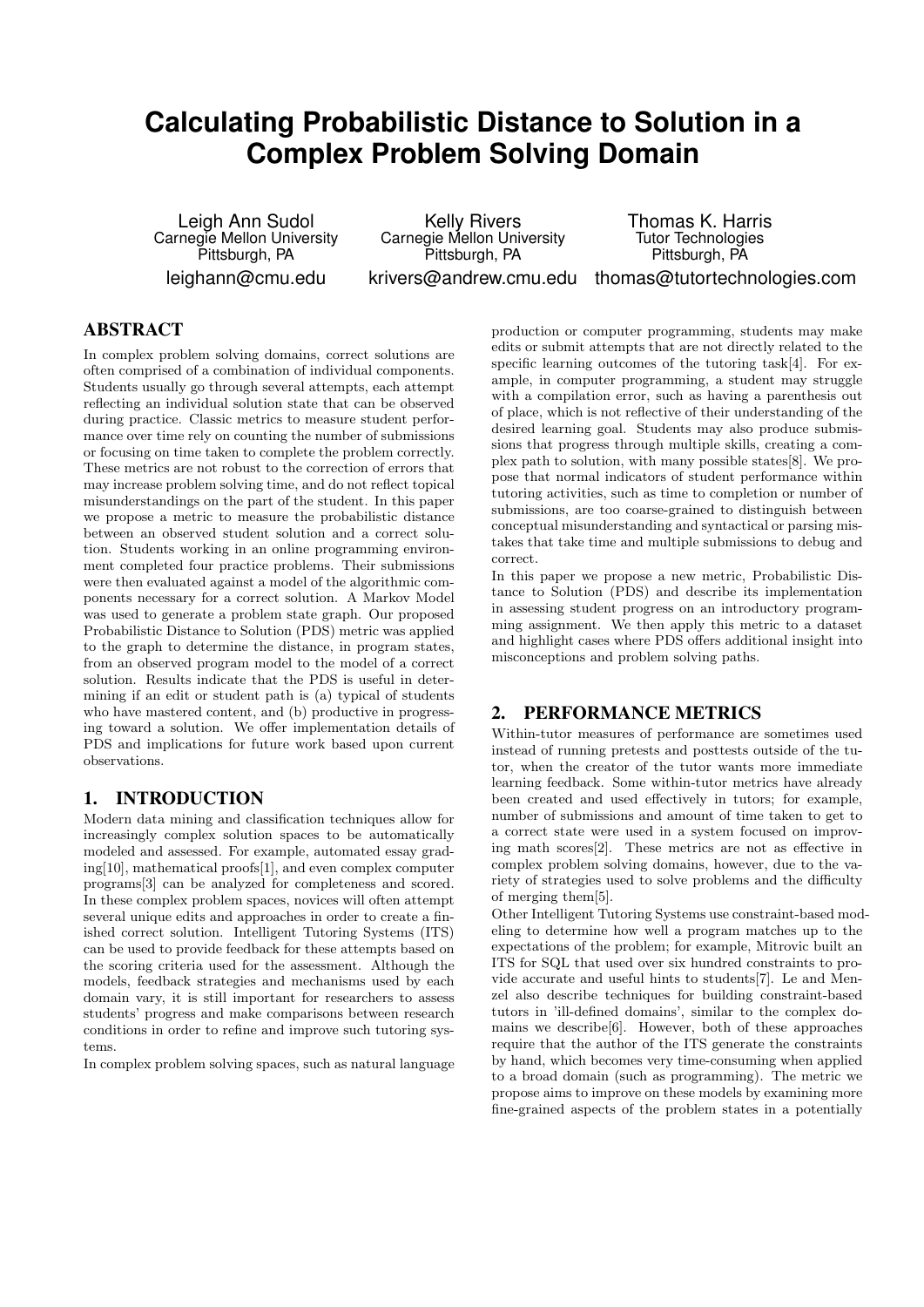# **Calculating Probabilistic Distance to Solution in a Complex Problem Solving Domain**

Leigh Ann Sudol Carnegie Mellon University Pittsburgh, PA leighann@cmu.edu

Kelly Rivers Carnegie Mellon University Pittsburgh, PA krivers@andrew.cmu.edu Thomas K. Harris Tutor Technologies Pittsburgh, PA

thomas@tutortechnologies.com

## ABSTRACT

In complex problem solving domains, correct solutions are often comprised of a combination of individual components. Students usually go through several attempts, each attempt reflecting an individual solution state that can be observed during practice. Classic metrics to measure student performance over time rely on counting the number of submissions or focusing on time taken to complete the problem correctly. These metrics are not robust to the correction of errors that may increase problem solving time, and do not reflect topical misunderstandings on the part of the student. In this paper we propose a metric to measure the probabilistic distance between an observed student solution and a correct solution. Students working in an online programming environment completed four practice problems. Their submissions were then evaluated against a model of the algorithmic components necessary for a correct solution. A Markov Model was used to generate a problem state graph. Our proposed Probabilistic Distance to Solution (PDS) metric was applied to the graph to determine the distance, in program states, from an observed program model to the model of a correct solution. Results indicate that the PDS is useful in determining if an edit or student path is (a) typical of students who have mastered content, and (b) productive in progressing toward a solution. We offer implementation details of PDS and implications for future work based upon current observations.

## 1. INTRODUCTION

Modern data mining and classification techniques allow for increasingly complex solution spaces to be automatically modeled and assessed. For example, automated essay grading[10], mathematical proofs[1], and even complex computer programs[3] can be analyzed for completeness and scored. In these complex problem spaces, novices will often attempt several unique edits and approaches in order to create a finished correct solution. Intelligent Tutoring Systems (ITS) can be used to provide feedback for these attempts based on the scoring criteria used for the assessment. Although the models, feedback strategies and mechanisms used by each domain vary, it is still important for researchers to assess students' progress and make comparisons between research conditions in order to refine and improve such tutoring systems.

In complex problem solving spaces, such as natural language

production or computer programming, students may make edits or submit attempts that are not directly related to the specific learning outcomes of the tutoring task[4]. For example, in computer programming, a student may struggle with a compilation error, such as having a parenthesis out of place, which is not reflective of their understanding of the desired learning goal. Students may also produce submissions that progress through multiple skills, creating a complex path to solution, with many possible states[8]. We propose that normal indicators of student performance within tutoring activities, such as time to completion or number of submissions, are too coarse-grained to distinguish between conceptual misunderstanding and syntactical or parsing mistakes that take time and multiple submissions to debug and correct.

In this paper we propose a new metric, Probabilistic Distance to Solution (PDS) and describe its implementation in assessing student progress on an introductory programming assignment. We then apply this metric to a dataset and highlight cases where PDS offers additional insight into misconceptions and problem solving paths.

#### 2. PERFORMANCE METRICS

Within-tutor measures of performance are sometimes used instead of running pretests and posttests outside of the tutor, when the creator of the tutor wants more immediate learning feedback. Some within-tutor metrics have already been created and used effectively in tutors; for example, number of submissions and amount of time taken to get to a correct state were used in a system focused on improving math scores[2]. These metrics are not as effective in complex problem solving domains, however, due to the variety of strategies used to solve problems and the difficulty of merging them[5].

Other Intelligent Tutoring Systems use constraint-based modeling to determine how well a program matches up to the expectations of the problem; for example, Mitrovic built an ITS for SQL that used over six hundred constraints to provide accurate and useful hints to students[7]. Le and Menzel also describe techniques for building constraint-based tutors in 'ill-defined domains', similar to the complex domains we describe[6]. However, both of these approaches require that the author of the ITS generate the constraints by hand, which becomes very time-consuming when applied to a broad domain (such as programming). The metric we propose aims to improve on these models by examining more fine-grained aspects of the problem states in a potentially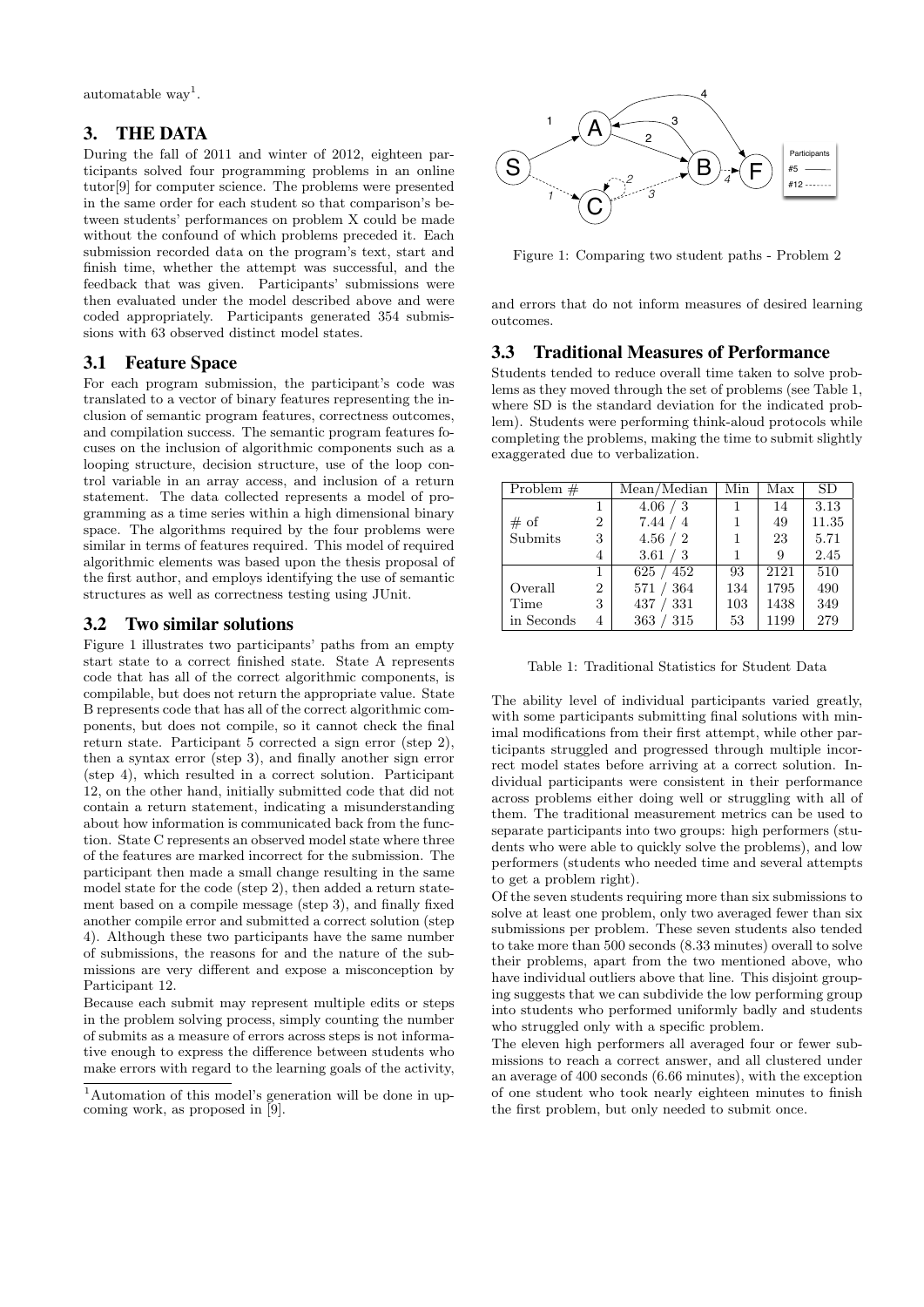$\alpha$ utomatable way<sup>1</sup>.

#### 3. THE DATA

During the fall of 2011 and winter of 2012, eighteen participants solved four programming problems in an online tutor[9] for computer science. The problems were presented in the same order for each student so that comparison's between students' performances on problem X could be made without the confound of which problems preceded it. Each submission recorded data on the program's text, start and finish time, whether the attempt was successful, and the feedback that was given. Participants' submissions were then evaluated under the model described above and were coded appropriately. Participants generated 354 submissions with 63 observed distinct model states.

#### 3.1 Feature Space

For each program submission, the participant's code was translated to a vector of binary features representing the inclusion of semantic program features, correctness outcomes, and compilation success. The semantic program features focuses on the inclusion of algorithmic components such as a looping structure, decision structure, use of the loop control variable in an array access, and inclusion of a return statement. The data collected represents a model of programming as a time series within a high dimensional binary space. The algorithms required by the four problems were similar in terms of features required. This model of required algorithmic elements was based upon the thesis proposal of the first author, and employs identifying the use of semantic structures as well as correctness testing using JUnit.

#### 3.2 Two similar solutions

Figure 1 illustrates two participants' paths from an empty start state to a correct finished state. State A represents code that has all of the correct algorithmic components, is compilable, but does not return the appropriate value. State B represents code that has all of the correct algorithmic components, but does not compile, so it cannot check the final return state. Participant 5 corrected a sign error (step 2), then a syntax error (step 3), and finally another sign error (step 4), which resulted in a correct solution. Participant 12, on the other hand, initially submitted code that did not contain a return statement, indicating a misunderstanding about how information is communicated back from the function. State C represents an observed model state where three of the features are marked incorrect for the submission. The participant then made a small change resulting in the same model state for the code (step 2), then added a return statement based on a compile message (step 3), and finally fixed another compile error and submitted a correct solution (step 4). Although these two participants have the same number of submissions, the reasons for and the nature of the submissions are very different and expose a misconception by Participant 12. it chonts solved four programming problems in an online<br>strained in the same order for the same order for each state of the comparison's here. The problems were presented<br>in the same order for each state constant as that

Because each submit may represent multiple edits or steps in the problem solving process, simply counting the number of submits as a measure of errors across steps is not informative enough to express the difference between students who make errors with regard to the learning goals of the activity,



Figure 1: Comparing two student paths - Problem 2

and errors that do not inform measures of desired learning outcomes.

#### 3.3 Traditional Measures of Performance

Students tended to reduce overall time taken to solve problems as they moved through the set of problems (see Table 1, where SD is the standard deviation for the indicated problem). Students were performing think-aloud protocols while completing the problems, making the time to submit slightly exaggerated due to verbalization.

| Problem $#$ |                | Mean/Median | Min | Max  | <b>SD</b> |
|-------------|----------------|-------------|-----|------|-----------|
|             |                | 4.06 / 3    | 1   | 14   | 3.13      |
| # of        | $\overline{2}$ | 7.44 / 4    |     | 49   | 11.35     |
| Submits     | 3              | 4.56 / 2    |     | 23   | 5.71      |
|             | 4              | 3.61 / 3    | 1   | 9    | 2.45      |
|             | 1              | 625/452     | 93  | 2121 | 510       |
| Overall     | $\overline{2}$ | 571 / 364   | 134 | 1795 | 490       |
| Time        | 3              | 437 / 331   | 103 | 1438 | 349       |
| in Seconds  | 4              | 363 / 315   | 53  | 1199 | 279       |

Table 1: Traditional Statistics for Student Data

The ability level of individual participants varied greatly, with some participants submitting final solutions with minimal modifications from their first attempt, while other participants struggled and progressed through multiple incorrect model states before arriving at a correct solution. Individual participants were consistent in their performance across problems either doing well or struggling with all of them. The traditional measurement metrics can be used to separate participants into two groups: high performers (students who were able to quickly solve the problems), and low performers (students who needed time and several attempts to get a problem right).

Of the seven students requiring more than six submissions to solve at least one problem, only two averaged fewer than six submissions per problem. These seven students also tended to take more than 500 seconds (8.33 minutes) overall to solve their problems, apart from the two mentioned above, who have individual outliers above that line. This disjoint grouping suggests that we can subdivide the low performing group into students who performed uniformly badly and students who struggled only with a specific problem.

The eleven high performers all averaged four or fewer submissions to reach a correct answer, and all clustered under an average of 400 seconds (6.66 minutes), with the exception of one student who took nearly eighteen minutes to finish the first problem, but only needed to submit once.

<sup>&</sup>lt;sup>1</sup>Automation of this model's generation will be done in up-<br>coming work, as proposed in [9].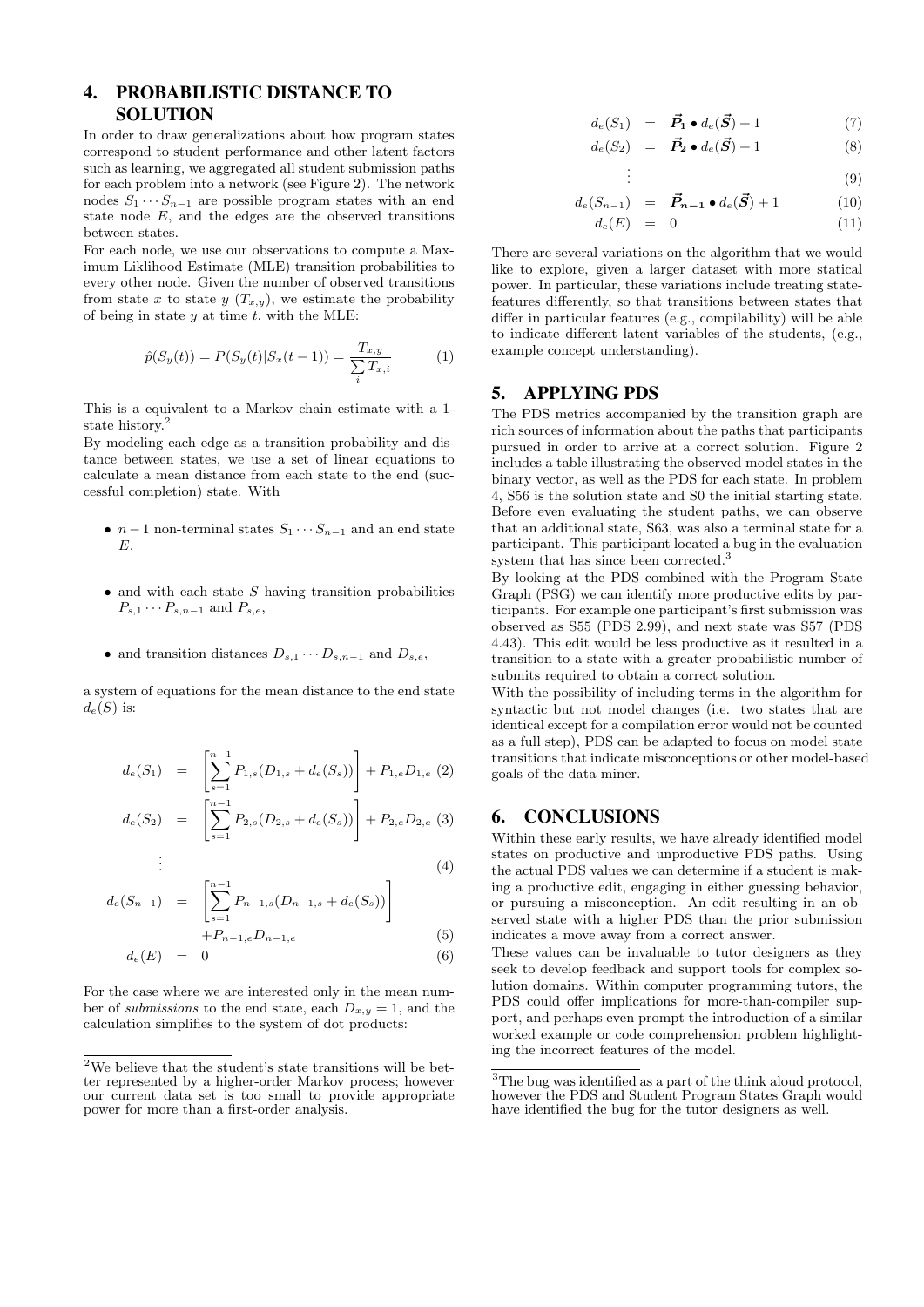# 4. PROBABILISTIC DISTANCE TO SOLUTION

In order to draw generalizations about how program states correspond to student performance and other latent factors such as learning, we aggregated all student submission paths for each problem into a network (see Figure 2). The network nodes  $S_1 \cdots S_{n-1}$  are possible program states with an end state node  $E$ , and the edges are the observed transitions between states.

For each node, we use our observations to compute a Maximum Liklihood Estimate (MLE) transition probabilities to every other node. Given the number of observed transitions from state x to state  $y(T_{x,y})$ , we estimate the probability of being in state  $y$  at time  $t$ , with the MLE:

$$
\hat{p}(S_y(t)) = P(S_y(t)|S_x(t-1)) = \frac{T_{x,y}}{\sum_{i} T_{x,i}} \tag{1}
$$

This is a equivalent to a Markov chain estimate with a 1 state history.

By modeling each edge as a transition probability and distance between states, we use a set of linear equations to calculate a mean distance from each state to the end (successful completion) state. With

- $n-1$  non-terminal states  $S_1 \cdots S_{n-1}$  and an end state E,
- $\bullet$  and with each state  $S$  having transition probabilities  $P_{s,1}\cdots P_{s,n-1}$  and  $P_{s,e}$ ,
- and transition distances  $D_{s,1} \cdots D_{s,n-1}$  and  $D_{s,e}$ ,

a system of equations for the mean distance to the end state  $d_e(S)$  is:

$$
d_e(S_1) = \left[ \sum_{s=1}^{n-1} P_{1,s}(D_{1,s} + d_e(S_s)) \right] + P_{1,e} D_{1,e} (2)
$$
  

$$
d_e(S_2) = \left[ \sum_{s=1}^{n-1} P_{2,s}(D_{2,s} + d_e(S_s)) \right] + P_{2,e} D_{2,e} (3)
$$

$$
d_e(S_2) = \left[ \sum_{s=1} P_{2,s}(D_{2,s} + d_e(S_s)) \right] + P_{2,e} D_{2,e} \tag{3}
$$

$$
\vdots \tag{4}
$$

$$
d_e(S_{n-1}) = \left[ \sum_{s=1}^{n-1} P_{n-1,s}(D_{n-1,s} + d_e(S_s)) \right]
$$

.

$$
+P_{n-1,e}D_{n-1,e} \tag{5}
$$

$$
d_e(E) = 0 \tag{6}
$$

For the case where we are interested only in the mean number of submissions to the end state, each  $D_{x,y} = 1$ , and the calculation simplifies to the system of dot products:

$$
d_e(S_1) = \vec{P}_1 \bullet d_e(\vec{S}) + 1 \tag{7}
$$

$$
d_e(S_2) = \vec{P}_2 \bullet d_e(\vec{S}) + 1 \tag{8}
$$

$$
\vdots \hspace{1.5cm} (9)
$$

$$
d_e(S_{n-1}) = \vec{P}_{n-1} \bullet d_e(\vec{S}) + 1 \tag{10}
$$

$$
d_e(E) = 0 \tag{11}
$$

There are several variations on the algorithm that we would like to explore, given a larger dataset with more statical power. In particular, these variations include treating statefeatures differently, so that transitions between states that differ in particular features (e.g., compilability) will be able to indicate different latent variables of the students, (e.g., example concept understanding).

#### 5. APPLYING PDS

The PDS metrics accompanied by the transition graph are rich sources of information about the paths that participants pursued in order to arrive at a correct solution. Figure 2 includes a table illustrating the observed model states in the binary vector, as well as the PDS for each state. In problem 4, S56 is the solution state and S0 the initial starting state. Before even evaluating the student paths, we can observe that an additional state, S63, was also a terminal state for a participant. This participant located a bug in the evaluation system that has since been corrected.<sup>3</sup>

By looking at the PDS combined with the Program State Graph (PSG) we can identify more productive edits by participants. For example one participant's first submission was observed as S55 (PDS 2.99), and next state was S57 (PDS 4.43). This edit would be less productive as it resulted in a transition to a state with a greater probabilistic number of submits required to obtain a correct solution.

With the possibility of including terms in the algorithm for syntactic but not model changes (i.e. two states that are identical except for a compilation error would not be counted as a full step), PDS can be adapted to focus on model state transitions that indicate misconceptions or other model-based goals of the data miner.

#### 6. CONCLUSIONS

Within these early results, we have already identified model states on productive and unproductive PDS paths. Using the actual PDS values we can determine if a student is making a productive edit, engaging in either guessing behavior, or pursuing a misconception. An edit resulting in an observed state with a higher PDS than the prior submission indicates a move away from a correct answer.

These values can be invaluable to tutor designers as they seek to develop feedback and support tools for complex solution domains. Within computer programming tutors, the PDS could offer implications for more-than-compiler support, and perhaps even prompt the introduction of a similar worked example or code comprehension problem highlighting the incorrect features of the model.

 $\overline{\text{2We} }$  believe that the student's state transitions will be better represented by a higher-order Markov process; however our current data set is too small to provide appropriate power for more than a first-order analysis.

<sup>3</sup>The bug was identified as a part of the think aloud protocol, however the PDS and Student Program States Graph would have identified the bug for the tutor designers as well.